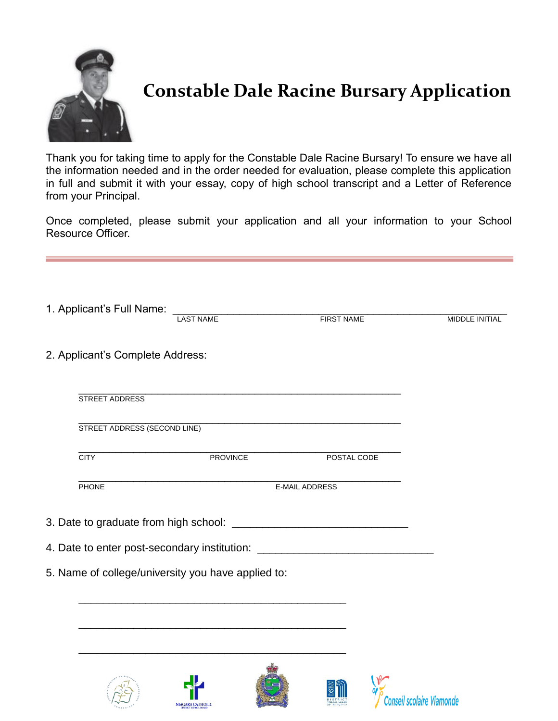

## **Constable Dale Racine Bursary Application**

Thank you for taking time to apply for the Constable Dale Racine Bursary! To ensure we have all the information needed and in the order needed for evaluation, please complete this application in full and submit it with your essay, copy of high school transcript and a Letter of Reference from your Principal.

Once completed, please submit your application and all your information to your School Resource Officer.

| 1. Applicant's Full Name:        | <b>LAST NAME</b>                                                                                | <b>FIRST NAME</b>                                                                | <b>MIDDLE INITIAL</b> |
|----------------------------------|-------------------------------------------------------------------------------------------------|----------------------------------------------------------------------------------|-----------------------|
| 2. Applicant's Complete Address: |                                                                                                 |                                                                                  |                       |
| STREET ADDRESS                   |                                                                                                 |                                                                                  |                       |
| STREET ADDRESS (SECOND LINE)     |                                                                                                 |                                                                                  |                       |
| <b>CITY</b>                      | PROVINCE                                                                                        | POSTAL CODE                                                                      |                       |
| <b>PHONE</b>                     | E-MAIL ADDRESS                                                                                  |                                                                                  |                       |
|                                  |                                                                                                 |                                                                                  |                       |
|                                  |                                                                                                 | 4. Date to enter post-secondary institution: ___________________________________ |                       |
|                                  | 5. Name of college/university you have applied to:                                              |                                                                                  |                       |
|                                  | the contract of the contract of the contract of the contract of the contract of the contract of |                                                                                  |                       |
|                                  |                                                                                                 |                                                                                  |                       |
|                                  |                                                                                                 |                                                                                  |                       |
|                                  |                                                                                                 |                                                                                  |                       |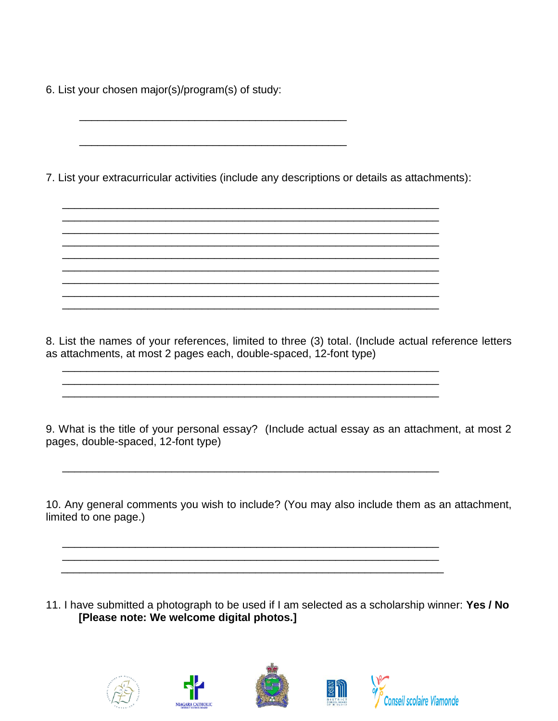6. List your chosen major(s)/program(s) of study:

 $\overline{\phantom{a}}$  ,  $\overline{\phantom{a}}$  ,  $\overline{\phantom{a}}$  ,  $\overline{\phantom{a}}$  ,  $\overline{\phantom{a}}$  ,  $\overline{\phantom{a}}$  ,  $\overline{\phantom{a}}$  ,  $\overline{\phantom{a}}$  ,  $\overline{\phantom{a}}$  ,  $\overline{\phantom{a}}$  ,  $\overline{\phantom{a}}$  ,  $\overline{\phantom{a}}$  ,  $\overline{\phantom{a}}$  ,  $\overline{\phantom{a}}$  ,  $\overline{\phantom{a}}$  ,  $\overline{\phantom{a}}$ 

\_\_\_\_\_\_\_\_\_\_\_\_\_\_\_\_\_\_\_\_\_\_\_\_\_\_\_\_\_\_\_\_\_\_\_\_\_\_\_\_\_\_\_\_

7. List your extracurricular activities (include any descriptions or details as attachments):

\_\_\_\_\_\_\_\_\_\_\_\_\_\_\_\_\_\_\_\_\_\_\_\_\_\_\_\_\_\_\_\_\_\_\_\_\_\_\_\_\_\_\_\_\_\_\_\_\_\_\_\_\_\_\_\_\_\_\_\_\_\_

\_\_\_\_\_\_\_\_\_\_\_\_\_\_\_\_\_\_\_\_\_\_\_\_\_\_\_\_\_\_\_\_\_\_\_\_\_\_\_\_\_\_\_\_\_\_\_\_\_\_\_\_\_\_\_\_\_\_\_\_\_\_ \_\_\_\_\_\_\_\_\_\_\_\_\_\_\_\_\_\_\_\_\_\_\_\_\_\_\_\_\_\_\_\_\_\_\_\_\_\_\_\_\_\_\_\_\_\_\_\_\_\_\_\_\_\_\_\_\_\_\_\_\_\_

\_\_\_\_\_\_\_\_\_\_\_\_\_\_\_\_\_\_\_\_\_\_\_\_\_\_\_\_\_\_\_\_\_\_\_\_\_\_\_\_\_\_\_\_\_\_\_\_\_\_\_\_\_\_\_\_\_\_\_\_\_\_ \_\_\_\_\_\_\_\_\_\_\_\_\_\_\_\_\_\_\_\_\_\_\_\_\_\_\_\_\_\_\_\_\_\_\_\_\_\_\_\_\_\_\_\_\_\_\_\_\_\_\_\_\_\_\_\_\_\_\_\_\_\_ \_\_\_\_\_\_\_\_\_\_\_\_\_\_\_\_\_\_\_\_\_\_\_\_\_\_\_\_\_\_\_\_\_\_\_\_\_\_\_\_\_\_\_\_\_\_\_\_\_\_\_\_\_\_\_\_\_\_\_\_\_\_ \_\_\_\_\_\_\_\_\_\_\_\_\_\_\_\_\_\_\_\_\_\_\_\_\_\_\_\_\_\_\_\_\_\_\_\_\_\_\_\_\_\_\_\_\_\_\_\_\_\_\_\_\_\_\_\_\_\_\_\_\_\_

\_\_\_\_\_\_\_\_\_\_\_\_\_\_\_\_\_\_\_\_\_\_\_\_\_\_\_\_\_\_\_\_\_\_\_\_\_\_\_\_\_\_\_\_\_\_\_\_\_\_\_\_\_\_\_\_\_\_\_\_\_\_

\_\_\_\_\_\_\_\_\_\_\_\_\_\_\_\_\_\_\_\_\_\_\_\_\_\_\_\_\_\_\_\_\_\_\_\_\_\_\_\_\_\_\_\_\_\_\_\_\_\_\_\_\_\_\_\_\_\_\_\_\_\_

\_\_\_\_\_\_\_\_\_\_\_\_\_\_\_\_\_\_\_\_\_\_\_\_\_\_\_\_\_\_\_\_\_\_\_\_\_\_\_\_\_\_\_\_\_\_\_\_\_\_\_\_\_\_\_\_\_\_\_\_\_\_ \_\_\_\_\_\_\_\_\_\_\_\_\_\_\_\_\_\_\_\_\_\_\_\_\_\_\_\_\_\_\_\_\_\_\_\_\_\_\_\_\_\_\_\_\_\_\_\_\_\_\_\_\_\_\_\_\_\_\_\_\_\_ \_\_\_\_\_\_\_\_\_\_\_\_\_\_\_\_\_\_\_\_\_\_\_\_\_\_\_\_\_\_\_\_\_\_\_\_\_\_\_\_\_\_\_\_\_\_\_\_\_\_\_\_\_\_\_\_\_\_\_\_\_\_\_

8. List the names of your references, limited to three (3) total. (Include actual reference letters as attachments, at most 2 pages each, double-spaced, 12-font type) \_\_\_\_\_\_\_\_\_\_\_\_\_\_\_\_\_\_\_\_\_\_\_\_\_\_\_\_\_\_\_\_\_\_\_\_\_\_\_\_\_\_\_\_\_\_\_\_\_\_\_\_\_\_\_\_\_\_\_\_\_\_

9. What is the title of your personal essay? (Include actual essay as an attachment, at most 2 pages, double-spaced, 12-font type)

10. Any general comments you wish to include? (You may also include them as an attachment, limited to one page.)

11. I have submitted a photograph to be used if I am selected as a scholarship winner: **Yes / No [Please note: We welcome digital photos.]**